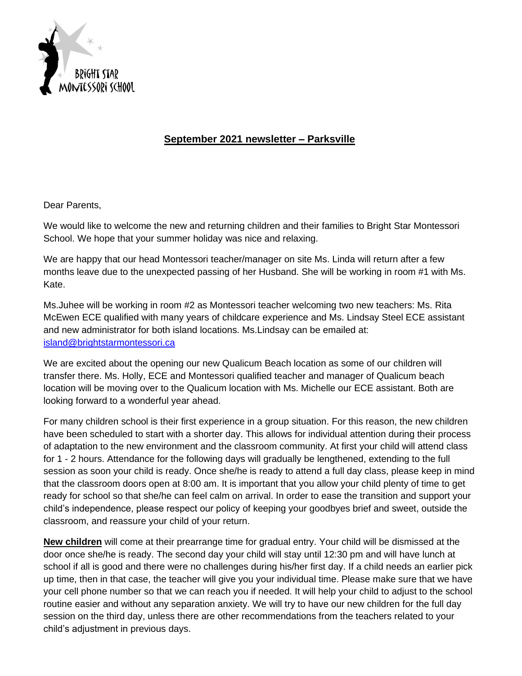

## **September 2021 newsletter – Parksville**

Dear Parents,

We would like to welcome the new and returning children and their families to Bright Star Montessori School. We hope that your summer holiday was nice and relaxing.

We are happy that our head Montessori teacher/manager on site Ms. Linda will return after a few months leave due to the unexpected passing of her Husband. She will be working in room #1 with Ms. Kate.

Ms.Juhee will be working in room #2 as Montessori teacher welcoming two new teachers: Ms. Rita McEwen ECE qualified with many years of childcare experience and Ms. Lindsay Steel ECE assistant and new administrator for both island locations. Ms.Lindsay can be emailed at: [island@brightstarmontessori.ca](mailto:island@brightstarmontessori.ca)

We are excited about the opening our new Qualicum Beach location as some of our children will transfer there. Ms. Holly, ECE and Montessori qualified teacher and manager of Qualicum beach location will be moving over to the Qualicum location with Ms. Michelle our ECE assistant. Both are looking forward to a wonderful year ahead.

For many children school is their first experience in a group situation. For this reason, the new children have been scheduled to start with a shorter day. This allows for individual attention during their process of adaptation to the new environment and the classroom community. At first your child will attend class for 1 - 2 hours. Attendance for the following days will gradually be lengthened, extending to the full session as soon your child is ready. Once she/he is ready to attend a full day class, please keep in mind that the classroom doors open at 8:00 am. It is important that you allow your child plenty of time to get ready for school so that she/he can feel calm on arrival. In order to ease the transition and support your child's independence, please respect our policy of keeping your goodbyes brief and sweet, outside the classroom, and reassure your child of your return.

**New children** will come at their prearrange time for gradual entry. Your child will be dismissed at the door once she/he is ready. The second day your child will stay until 12:30 pm and will have lunch at school if all is good and there were no challenges during his/her first day. If a child needs an earlier pick up time, then in that case, the teacher will give you your individual time. Please make sure that we have your cell phone number so that we can reach you if needed. It will help your child to adjust to the school routine easier and without any separation anxiety. We will try to have our new children for the full day session on the third day, unless there are other recommendations from the teachers related to your child's adjustment in previous days.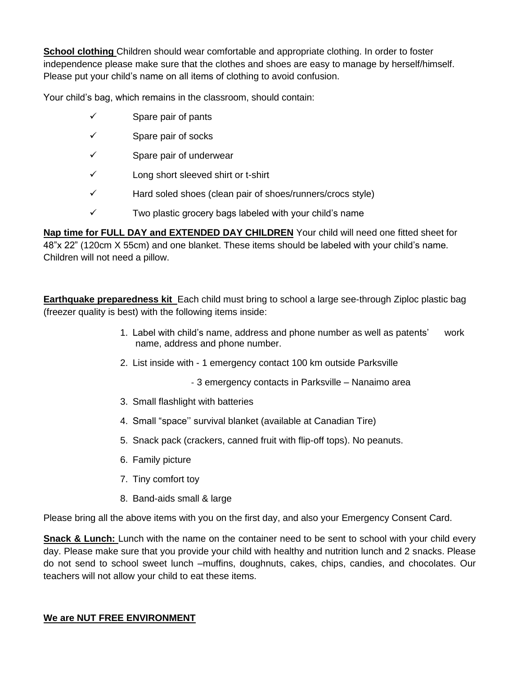**School clothing** Children should wear comfortable and appropriate clothing. In order to foster independence please make sure that the clothes and shoes are easy to manage by herself/himself. Please put your child's name on all items of clothing to avoid confusion.

Your child's bag, which remains in the classroom, should contain:

- ✓ Spare pair of pants
- ✓ Spare pair of socks
- ✓ Spare pair of underwear
- ✓ Long short sleeved shirt or t-shirt
- ✓ Hard soled shoes (clean pair of shoes/runners/crocs style)
- ✓ Two plastic grocery bags labeled with your child's name

**Nap time for FULL DAY and EXTENDED DAY CHILDREN** Your child will need one fitted sheet for 48"x 22" (120cm X 55cm) and one blanket. These items should be labeled with your child's name. Children will not need a pillow.

**Earthquake preparedness kit** Each child must bring to school a large see-through Ziploc plastic bag (freezer quality is best) with the following items inside:

- 1. Label with child's name, address and phone number as well as patents' work name, address and phone number.
- 2. List inside with 1 emergency contact 100 km outside Parksville
	- 3 emergency contacts in Parksville Nanaimo area
- 3. Small flashlight with batteries
- 4. Small "space'' survival blanket (available at Canadian Tire)
- 5. Snack pack (crackers, canned fruit with flip-off tops). No peanuts.
- 6. Family picture
- 7. Tiny comfort toy
- 8. Band-aids small & large

Please bring all the above items with you on the first day, and also your Emergency Consent Card.

**Snack & Lunch:** Lunch with the name on the container need to be sent to school with your child every day. Please make sure that you provide your child with healthy and nutrition lunch and 2 snacks. Please do not send to school sweet lunch –muffins, doughnuts, cakes, chips, candies, and chocolates. Our teachers will not allow your child to eat these items.

## **We are NUT FREE ENVIRONMENT**